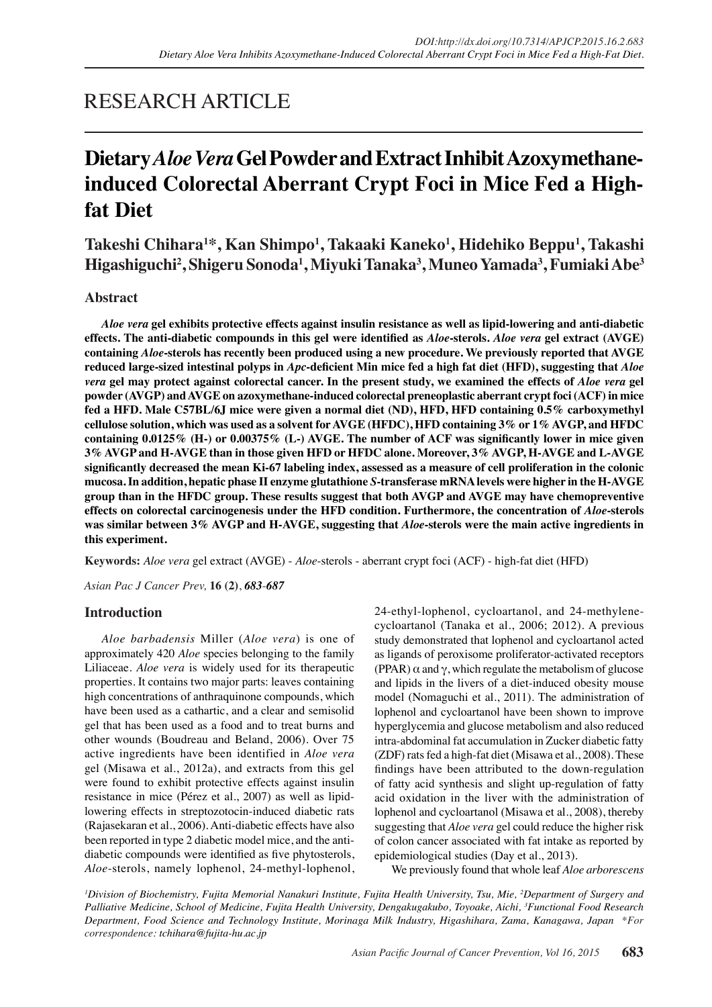# RESEARCH ARTICLE

# **Dietary** *Aloe Vera* **Gel Powder and Extract Inhibit Azoxymethaneinduced Colorectal Aberrant Crypt Foci in Mice Fed a Highfat Diet**

**Takeshi Chihara1 \*, Kan Shimpo<sup>1</sup> , Takaaki Kaneko<sup>1</sup> , Hidehiko Beppu<sup>1</sup> , Takashi Higashiguchi<sup>2</sup> , Shigeru Sonoda<sup>1</sup> , Miyuki Tanaka<sup>3</sup> , Muneo Yamada<sup>3</sup> , Fumiaki Abe<sup>3</sup>**

# **Abstract**

*Aloe vera* **gel exhibits protective effects against insulin resistance as well as lipid-lowering and anti-diabetic effects. The anti-diabetic compounds in this gel were identified as** *Aloe***-sterols.** *Aloe vera* **gel extract (AVGE) containing** *Aloe***-sterols has recently been produced using a new procedure. We previously reported that AVGE reduced large-sized intestinal polyps in** *Apc***-deficient Min mice fed a high fat diet (HFD), suggesting that** *Aloe vera* **gel may protect against colorectal cancer. In the present study, we examined the effects of** *Aloe vera* **gel powder (AVGP) and AVGE on azoxymethane-induced colorectal preneoplastic aberrant crypt foci (ACF) in mice fed a HFD. Male C57BL/6J mice were given a normal diet (ND), HFD, HFD containing 0.5% carboxymethyl cellulose solution, which was used as a solvent for AVGE (HFDC), HFD containing 3% or 1% AVGP, and HFDC containing 0.0125% (H-) or 0.00375% (L-) AVGE. The number of ACF was significantly lower in mice given 3% AVGP and H-AVGE than in those given HFD or HFDC alone. Moreover, 3% AVGP, H-AVGE and L-AVGE significantly decreased the mean Ki-67 labeling index, assessed as a measure of cell proliferation in the colonic mucosa. In addition, hepatic phase II enzyme glutathione** *S***-transferase mRNA levels were higher in the H-AVGE group than in the HFDC group. These results suggest that both AVGP and AVGE may have chemopreventive effects on colorectal carcinogenesis under the HFD condition. Furthermore, the concentration of** *Aloe***-sterols was similar between 3% AVGP and H-AVGE, suggesting that** *Aloe***-sterols were the main active ingredients in this experiment.**

**Keywords:** *Aloe vera* gel extract (AVGE) - *Aloe*-sterols - aberrant crypt foci (ACF) - high-fat diet (HFD)

*Asian Pac J Cancer Prev,* **16 (2)**, *683*-*687*

# **Introduction**

*Aloe barbadensis* Miller (*Aloe vera*) is one of approximately 420 *Aloe* species belonging to the family Liliaceae. *Aloe vera* is widely used for its therapeutic properties. It contains two major parts: leaves containing high concentrations of anthraquinone compounds, which have been used as a cathartic, and a clear and semisolid gel that has been used as a food and to treat burns and other wounds (Boudreau and Beland, 2006). Over 75 active ingredients have been identified in *Aloe vera*  gel (Misawa et al., 2012a), and extracts from this gel were found to exhibit protective effects against insulin resistance in mice (Pérez et al., 2007) as well as lipidlowering effects in streptozotocin-induced diabetic rats (Rajasekaran et al., 2006). Anti-diabetic effects have also been reported in type 2 diabetic model mice, and the antidiabetic compounds were identified as five phytosterols, *Aloe*-sterols, namely lophenol, 24-methyl-lophenol,

24-ethyl-lophenol, cycloartanol, and 24-methylenecycloartanol (Tanaka et al., 2006; 2012). A previous study demonstrated that lophenol and cycloartanol acted as ligands of peroxisome proliferator-activated receptors (PPAR)  $\alpha$  and  $\gamma$ , which regulate the metabolism of glucose and lipids in the livers of a diet-induced obesity mouse model (Nomaguchi et al., 2011). The administration of lophenol and cycloartanol have been shown to improve hyperglycemia and glucose metabolism and also reduced intra-abdominal fat accumulation in Zucker diabetic fatty (ZDF) rats fed a high-fat diet (Misawa et al., 2008). These findings have been attributed to the down-regulation of fatty acid synthesis and slight up-regulation of fatty acid oxidation in the liver with the administration of lophenol and cycloartanol (Misawa et al., 2008), thereby suggesting that *Aloe vera* gel could reduce the higher risk of colon cancer associated with fat intake as reported by epidemiological studies (Day et al., 2013).

We previously found that whole leaf *Aloe arborescens*

*1 Division of Biochemistry, Fujita Memorial Nanakuri Institute, Fujita Health University, Tsu, Mie, 2 Department of Surgery and Palliative Medicine, School of Medicine, Fujita Health University, Dengakugakubo, Toyoake, Aichi, 3 Functional Food Research Department, Food Science and Technology Institute, Morinaga Milk Industry, Higashihara, Zama, Kanagawa, Japan \*For correspondence: tchihara@fujita-hu.ac.jp*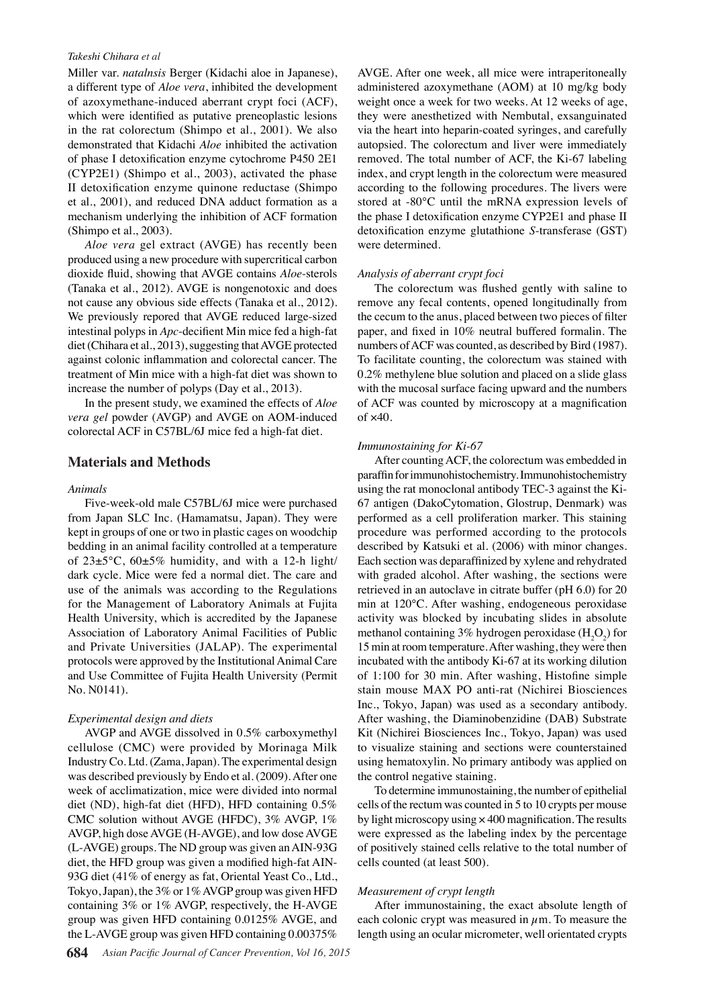### *Takeshi Chihara et al*

Miller var. *natalnsis* Berger (Kidachi aloe in Japanese), a different type of *Aloe vera*, inhibited the development of azoxymethane-induced aberrant crypt foci (ACF), which were identified as putative preneoplastic lesions in the rat colorectum (Shimpo et al., 2001). We also demonstrated that Kidachi *Aloe* inhibited the activation of phase I detoxification enzyme cytochrome P450 2E1 (CYP2E1) (Shimpo et al., 2003), activated the phase II detoxification enzyme quinone reductase (Shimpo et al., 2001), and reduced DNA adduct formation as a mechanism underlying the inhibition of ACF formation (Shimpo et al., 2003).

*Aloe vera* gel extract (AVGE) has recently been produced using a new procedure with supercritical carbon dioxide fluid, showing that AVGE contains *Aloe*-sterols (Tanaka et al., 2012). AVGE is nongenotoxic and does not cause any obvious side effects (Tanaka et al., 2012). We previously repored that AVGE reduced large-sized intestinal polyps in *Apc*-decifient Min mice fed a high-fat diet (Chihara et al., 2013), suggesting that AVGE protected against colonic inflammation and colorectal cancer. The treatment of Min mice with a high-fat diet was shown to increase the number of polyps (Day et al., 2013).

In the present study, we examined the effects of *Aloe vera gel* powder (AVGP) and AVGE on AOM-induced colorectal ACF in C57BL/6J mice fed a high-fat diet.

# **Materials and Methods**

### *Animals*

Five-week-old male C57BL/6J mice were purchased from Japan SLC Inc. (Hamamatsu, Japan). They were kept in groups of one or two in plastic cages on woodchip bedding in an animal facility controlled at a temperature of  $23\pm5^{\circ}$ C,  $60\pm5\%$  humidity, and with a 12-h light/ dark cycle. Mice were fed a normal diet. The care and use of the animals was according to the Regulations for the Management of Laboratory Animals at Fujita Health University, which is accredited by the Japanese Association of Laboratory Animal Facilities of Public and Private Universities (JALAP). The experimental protocols were approved by the Institutional Animal Care and Use Committee of Fujita Health University (Permit No. N0141).

## *Experimental design and diets*

AVGP and AVGE dissolved in 0.5% carboxymethyl cellulose (CMC) were provided by Morinaga Milk Industry Co. Ltd. (Zama, Japan). The experimental design was described previously by Endo et al. (2009). After one week of acclimatization, mice were divided into normal diet (ND), high-fat diet (HFD), HFD containing 0.5% CMC solution without AVGE (HFDC), 3% AVGP, 1% AVGP, high dose AVGE (H-AVGE), and low dose AVGE (L-AVGE) groups. The ND group was given an AIN-93G diet, the HFD group was given a modified high-fat AIN-93G diet (41% of energy as fat, Oriental Yeast Co., Ltd., Tokyo, Japan), the 3% or 1% AVGP group was given HFD containing 3% or 1% AVGP, respectively, the H-AVGE group was given HFD containing 0.0125% AVGE, and the L-AVGE group was given HFD containing 0.00375%

AVGE. After one week, all mice were intraperitoneally administered azoxymethane (AOM) at 10 mg/kg body weight once a week for two weeks. At 12 weeks of age, they were anesthetized with Nembutal, exsanguinated via the heart into heparin-coated syringes, and carefully autopsied. The colorectum and liver were immediately removed. The total number of ACF, the Ki-67 labeling index, and crypt length in the colorectum were measured according to the following procedures. The livers were stored at -80°C until the mRNA expression levels of the phase I detoxification enzyme CYP2E1 and phase II detoxification enzyme glutathione *S*-transferase (GST) were determined.

# *Analysis of aberrant crypt foci*

The colorectum was flushed gently with saline to remove any fecal contents, opened longitudinally from the cecum to the anus, placed between two pieces of filter paper, and fixed in 10% neutral buffered formalin. The numbers of ACF was counted, as described by Bird (1987). To facilitate counting, the colorectum was stained with 0.2% methylene blue solution and placed on a slide glass with the mucosal surface facing upward and the numbers of ACF was counted by microscopy at a magnification of  $\times$ 40.

### *Immunostaining for Ki-67*

After counting ACF, the colorectum was embedded in paraffin for immunohistochemistry. Immunohistochemistry using the rat monoclonal antibody TEC-3 against the Ki-67 antigen (DakoCytomation, Glostrup, Denmark) was performed as a cell proliferation marker. This staining procedure was performed according to the protocols described by Katsuki et al. (2006) with minor changes. Each section was deparaffinized by xylene and rehydrated with graded alcohol. After washing, the sections were retrieved in an autoclave in citrate buffer (pH 6.0) for 20 min at 120°C. After washing, endogeneous peroxidase activity was blocked by incubating slides in absolute methanol containing 3% hydrogen peroxidase  $(H_2O_2)$  for 15 min at room temperature. After washing, they were then incubated with the antibody Ki-67 at its working dilution of 1:100 for 30 min. After washing, Histofine simple stain mouse MAX PO anti-rat (Nichirei Biosciences Inc., Tokyo, Japan) was used as a secondary antibody. After washing, the Diaminobenzidine (DAB) Substrate Kit (Nichirei Biosciences Inc., Tokyo, Japan) was used to visualize staining and sections were counterstained using hematoxylin. No primary antibody was applied on the control negative staining.

To determine immunostaining, the number of epithelial cells of the rectum was counted in 5 to 10 crypts per mouse by light microscopy using × 400 magnification. The results were expressed as the labeling index by the percentage of positively stained cells relative to the total number of cells counted (at least 500).

## *Measurement of crypt length*

After immunostaining, the exact absolute length of each colonic crypt was measured in  $\mu$ m. To measure the length using an ocular micrometer, well orientated crypts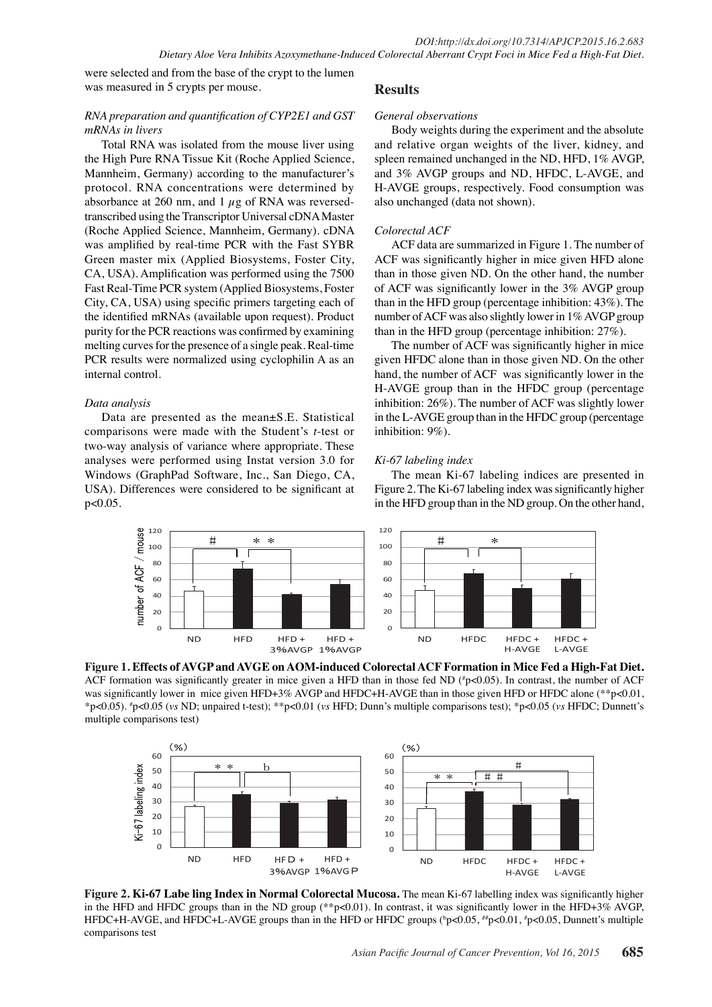were selected and from the base of the crypt to the lumen was measured in 5 crypts per mouse.

# *RNA preparation and quantification of CYP2E1 and GST mRNAs in livers*

Total RNA was isolated from the mouse liver using the High Pure RNA Tissue Kit (Roche Applied Science, Mannheim, Germany) according to the manufacturer's protocol. RNA concentrations were determined by absorbance at 260 nm, and 1  $\mu$ g of RNA was reversedtranscribed using the Transcriptor Universal cDNA Master (Roche Applied Science, Mannheim, Germany). cDNA was amplified by real-time PCR with the Fast SYBR Green master mix (Applied Biosystems, Foster City, CA, USA). Amplification was performed using the 7500 Fast Real-Time PCR system (Applied Biosystems, Foster City, CA, USA) using specific primers targeting each of the identified mRNAs (available upon request). Product purity for the PCR reactions was confirmed by examining melting curves for the presence of a single peak. Real-time PCR results were normalized using cyclophilin A as an internal control.

# *Data analysis*

Data are presented as the mean±S.E. Statistical comparisons were made with the Student's *t*-test or two-way analysis of variance where appropriate. These analyses were performed using Instat version 3.0 for Windows (GraphPad Software, Inc., San Diego, CA, USA). Differences were considered to be significant at  $p < 0.05$ .

# **Results**

## *General observations*

Body weights during the experiment and the absolute and relative organ weights of the liver, kidney, and spleen remained unchanged in the ND, HFD, 1% AVGP, and 3% AVGP groups and ND, HFDC, L-AVGE, and H-AVGE groups, respectively. Food consumption was also unchanged (data not shown).

# *Colorectal ACF*

ACF data are summarized in Figure 1. The number of ACF was significantly higher in mice given HFD alone than in those given ND. On the other hand, the number of ACF was significantly lower in the 3% AVGP group than in the HFD group (percentage inhibition: 43%). The number of ACF was also slightly lower in 1% AVGP group than in the HFD group (percentage inhibition: 27%).

The number of ACF was significantly higher in mice given HFDC alone than in those given ND. On the other hand, the number of ACF was significantly lower in the H-AVGE group than in the HFDC group (percentage inhibition: 26%). The number of ACF was slightly lower in the L-AVGE group than in the HFDC group (percentage inhibition: 9%).

# *Ki-67 labeling index*

The mean Ki-67 labeling indices are presented in Figure 2. The Ki-67 labeling index was significantly higher in the HFD group than in the ND group. On the other hand,



**Figure 1. Effects of AVGP and AVGE on AOM-induced Colorectal ACF Formation in Mice Fed a High-Fat Diet.**  ACF formation was significantly greater in mice given a HFD than in those fed ND ( $\text{\degree }p$  <0.05). In contrast, the number of ACF was significantly lower in mice given HFD+3% AVGP and HFDC+H-AVGE than in those given HFD or HFDC alone (\*\*p<0.01, \*p<0.05). # p<0.05 (*vs* ND; unpaired t-test); \*\*p<0.01 (*vs* HFD; Dunn's multiple comparisons test); \*p<0.05 (*vs* HFDC; Dunnett's multiple comparisons test)



**Figure 2. Ki-67 Labe ling Index in Normal Colorectal Mucosa.** The mean Ki-67 labelling index was significantly higher in the HFD and HFDC groups than in the ND group (\*\*p<0.01). In contrast, it was significantly lower in the HFD+3% AVGP, HFDC+H-AVGE, and HFDC+L-AVGE groups than in the HFD or HFDC groups  $(^bp<0.05, ^{\#}p<0.01, ^{\#}p<0.05,$  Dunnett's multiple comparisons test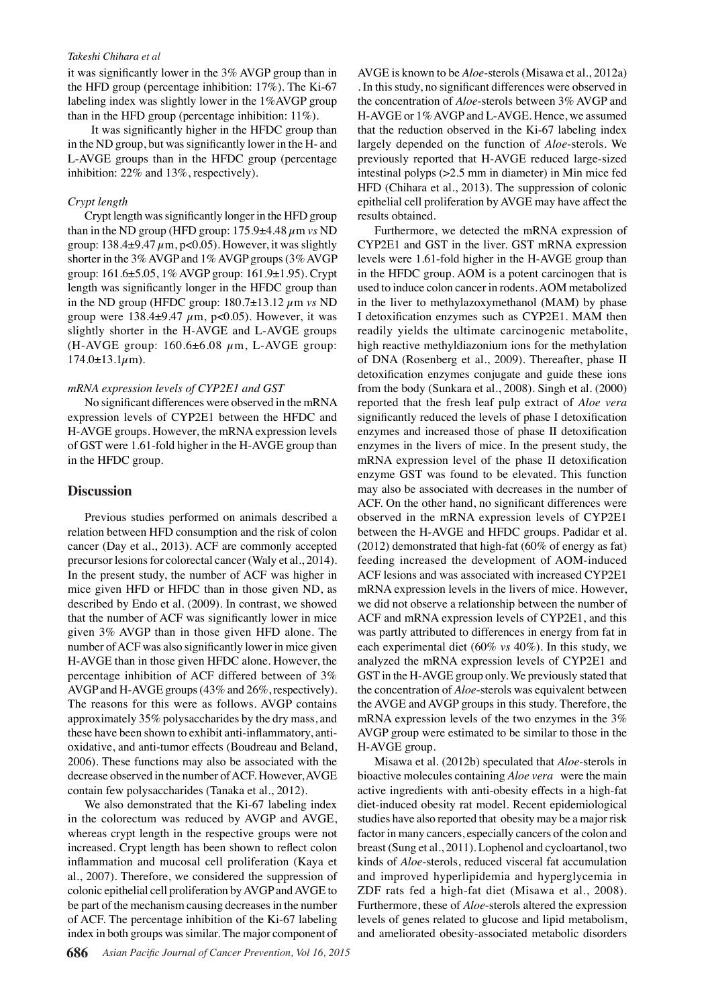#### *Takeshi Chihara et al*

it was significantly lower in the 3% AVGP group than in the HFD group (percentage inhibition: 17%). The Ki-67 labeling index was slightly lower in the 1%AVGP group than in the HFD group (percentage inhibition: 11%).

 It was significantly higher in the HFDC group than in the ND group, but was significantly lower in the H- and L-AVGE groups than in the HFDC group (percentage inhibition: 22% and 13%, respectively).

## *Crypt length*

Crypt length was significantly longer in the HFD group than in the ND group (HFD group:  $175.9\pm4.48 \mu$ m *vs* ND group:  $138.4\pm9.47 \mu m$ , p<0.05). However, it was slightly shorter in the 3% AVGP and 1% AVGP groups (3% AVGP group: 161.6±5.05, 1% AVGP group: 161.9±1.95). Crypt length was significantly longer in the HFDC group than in the ND group (HFDC group:  $180.7 \pm 13.12 \ \mu m$  vs ND group were  $138.4\pm9.47 \mu m$ , p<0.05). However, it was slightly shorter in the H-AVGE and L-AVGE groups (H-AVGE group:  $160.6\pm6.08 \mu$ m, L-AVGE group:  $174.0 \pm 13.1 \mu m$ ).

#### *mRNA expression levels of CYP2E1 and GST*

No significant differences were observed in the mRNA expression levels of CYP2E1 between the HFDC and H-AVGE groups. However, the mRNA expression levels of GST were 1.61-fold higher in the H-AVGE group than in the HFDC group.

## **Discussion**

Previous studies performed on animals described a relation between HFD consumption and the risk of colon cancer (Day et al., 2013). ACF are commonly accepted precursor lesions for colorectal cancer (Waly et al., 2014). In the present study, the number of ACF was higher in mice given HFD or HFDC than in those given ND, as described by Endo et al. (2009). In contrast, we showed that the number of ACF was significantly lower in mice given 3% AVGP than in those given HFD alone. The number of ACF was also significantly lower in mice given H-AVGE than in those given HFDC alone. However, the percentage inhibition of ACF differed between of 3% AVGP and H-AVGE groups (43% and 26%, respectively). The reasons for this were as follows. AVGP contains approximately 35% polysaccharides by the dry mass, and these have been shown to exhibit anti-inflammatory, antioxidative, and anti-tumor effects (Boudreau and Beland, 2006). These functions may also be associated with the decrease observed in the number of ACF. However, AVGE contain few polysaccharides (Tanaka et al., 2012).

We also demonstrated that the Ki-67 labeling index in the colorectum was reduced by AVGP and AVGE, whereas crypt length in the respective groups were not increased. Crypt length has been shown to reflect colon inflammation and mucosal cell proliferation (Kaya et al., 2007). Therefore, we considered the suppression of colonic epithelial cell proliferation by AVGP and AVGE to be part of the mechanism causing decreases in the number of ACF. The percentage inhibition of the Ki-67 labeling index in both groups was similar. The major component of AVGE is known to be *Aloe*-sterols (Misawa et al., 2012a) . In this study, no significant differences were observed in the concentration of *Aloe*-sterols between 3% AVGP and H-AVGE or 1% AVGP and L-AVGE. Hence, we assumed that the reduction observed in the Ki-67 labeling index largely depended on the function of *Aloe*-sterols. We previously reported that H-AVGE reduced large-sized intestinal polyps (>2.5 mm in diameter) in Min mice fed HFD (Chihara et al., 2013). The suppression of colonic epithelial cell proliferation by AVGE may have affect the results obtained.

Furthermore, we detected the mRNA expression of CYP2E1 and GST in the liver. GST mRNA expression levels were 1.61-fold higher in the H-AVGE group than in the HFDC group. AOM is a potent carcinogen that is used to induce colon cancer in rodents. AOM metabolized in the liver to methylazoxymethanol (MAM) by phase I detoxification enzymes such as CYP2E1. MAM then readily yields the ultimate carcinogenic metabolite, high reactive methyldiazonium ions for the methylation of DNA (Rosenberg et al., 2009). Thereafter, phase II detoxification enzymes conjugate and guide these ions from the body (Sunkara et al., 2008). Singh et al. (2000) reported that the fresh leaf pulp extract of *Aloe vera* significantly reduced the levels of phase I detoxification enzymes and increased those of phase II detoxification enzymes in the livers of mice. In the present study, the mRNA expression level of the phase II detoxification enzyme GST was found to be elevated. This function may also be associated with decreases in the number of ACF. On the other hand, no significant differences were observed in the mRNA expression levels of CYP2E1 between the H-AVGE and HFDC groups. Padidar et al.  $(2012)$  demonstrated that high-fat  $(60\% \text{ of energy as fat})$ feeding increased the development of AOM-induced ACF lesions and was associated with increased CYP2E1 mRNA expression levels in the livers of mice. However, we did not observe a relationship between the number of ACF and mRNA expression levels of CYP2E1, and this was partly attributed to differences in energy from fat in each experimental diet (60% *vs* 40%). In this study, we analyzed the mRNA expression levels of CYP2E1 and GST in the H-AVGE group only. We previously stated that the concentration of *Aloe*-sterols was equivalent between the AVGE and AVGP groups in this study. Therefore, the mRNA expression levels of the two enzymes in the 3% AVGP group were estimated to be similar to those in the H-AVGE group.

Misawa et al. (2012b) speculated that *Aloe*-sterols in bioactive molecules containing *Aloe vera* were the main active ingredients with anti-obesity effects in a high-fat diet-induced obesity rat model. Recent epidemiological studies have also reported that obesity may be a major risk factor in many cancers, especially cancers of the colon and breast (Sung et al., 2011). Lophenol and cycloartanol, two kinds of *Aloe*-sterols, reduced visceral fat accumulation and improved hyperlipidemia and hyperglycemia in ZDF rats fed a high-fat diet (Misawa et al., 2008). Furthermore, these of *Aloe*-sterols altered the expression levels of genes related to glucose and lipid metabolism, and ameliorated obesity-associated metabolic disorders